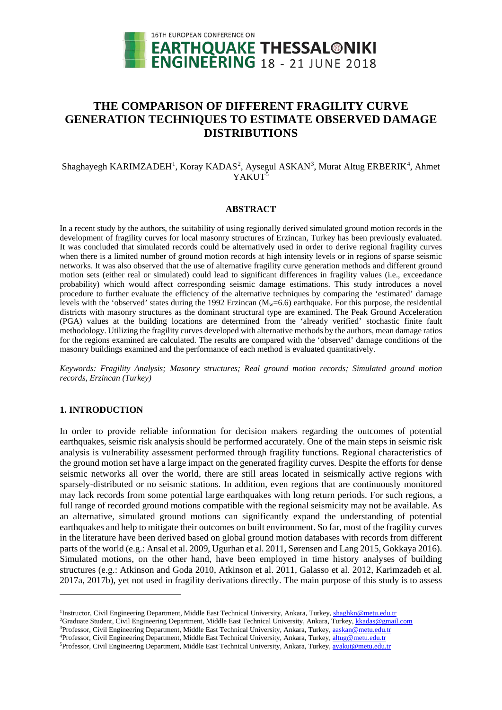

# **THE COMPARISON OF DIFFERENT FRAGILITY CURVE GENERATION TECHNIQUES TO ESTIMATE OBSERVED DAMAGE DISTRIBUTIONS**

Shaghayegh KARIMZADEH<sup>[1](#page-0-0)</sup>, Koray KADAS<sup>[2](#page-0-1)</sup>, Aysegul ASKAN<sup>[3](#page-0-2)</sup>, Murat Altug ERBERIK<sup>[4](#page-0-3)</sup>, Ahmet YAKUT<sup>[5](#page-0-4)</sup>

## **ABSTRACT**

In a recent study by the authors, the suitability of using regionally derived simulated ground motion records in the development of fragility curves for local masonry structures of Erzincan, Turkey has been previously evaluated. It was concluded that simulated records could be alternatively used in order to derive regional fragility curves when there is a limited number of ground motion records at high intensity levels or in regions of sparse seismic networks. It was also observed that the use of alternative fragility curve generation methods and different ground motion sets (either real or simulated) could lead to significant differences in fragility values (i.e., exceedance probability) which would affect corresponding seismic damage estimations. This study introduces a novel procedure to further evaluate the efficiency of the alternative techniques by comparing the 'estimated' damage levels with the 'observed' states during the 1992 Erzincan  $(M<sub>w</sub>=6.6)$  earthquake. For this purpose, the residential districts with masonry structures as the dominant structural type are examined. The Peak Ground Acceleration (PGA) values at the building locations are determined from the 'already verified' stochastic finite fault methodology. Utilizing the fragility curves developed with alternative methods by the authors, mean damage ratios for the regions examined are calculated. The results are compared with the 'observed' damage conditions of the masonry buildings examined and the performance of each method is evaluated quantitatively.

*Keywords: Fragility Analysis; Masonry structures; Real ground motion records; Simulated ground motion records, Erzincan (Turkey)*

## **1. INTRODUCTION**

-

In order to provide reliable information for decision makers regarding the outcomes of potential earthquakes, seismic risk analysis should be performed accurately. One of the main steps in seismic risk analysis is vulnerability assessment performed through fragility functions. Regional characteristics of the ground motion set have a large impact on the generated fragility curves. Despite the efforts for dense seismic networks all over the world, there are still areas located in seismically active regions with sparsely-distributed or no seismic stations. In addition, even regions that are continuously monitored may lack records from some potential large earthquakes with long return periods. For such regions, a full range of recorded ground motions compatible with the regional seismicity may not be available. As an alternative, simulated ground motions can significantly expand the understanding of potential earthquakes and help to mitigate their outcomes on built environment. So far, most of the fragility curves in the literature have been derived based on global ground motion databases with records from different parts of the world (e.g.: Ansal et al. 2009, Ugurhan et al. 2011, Sørensen and Lang 2015, Gokkaya 2016). Simulated motions, on the other hand, have been employed in time history analyses of building structures (e.g.: Atkinson and Goda 2010, Atkinson et al. 2011, Galasso et al. 2012, Karimzadeh et al. 2017a, 2017b), yet not used in fragility derivations directly. The main purpose of this study is to assess

<span id="page-0-1"></span><span id="page-0-0"></span><sup>&</sup>lt;sup>1</sup>Instructor, Civil Engineering Department, Middle East Technical University, Ankara, Turkey[, shaghkn@metu.edu.tr](mailto:shaghkn@metu.edu.tr) <sup>2</sup>Graduate Student, Civil Engineering Department, Middle East Technical University, Ankara, Turkey[, kkadas@gmail.com](mailto:shaghkn@gmail.com) <sup>3</sup>Professor, Civil Engineering Department, Middle East Technical University, Ankara, Turkey[, aaskan@metu.edu.tr](mailto:aaskan@metu.edu.tr2)

<span id="page-0-3"></span><span id="page-0-2"></span><sup>&</sup>lt;sup>4</sup>Professor, Civil Engineering Department, Middle East Technical University, Ankara, Turkey[, altug@metu.edu.tr](mailto:altug@metu.edu.tr)

<span id="page-0-4"></span><sup>&</sup>lt;sup>5</sup>Professor, Civil Engineering Department, Middle East Technical University, Ankara, Turkey, avakut@metu.edu.tr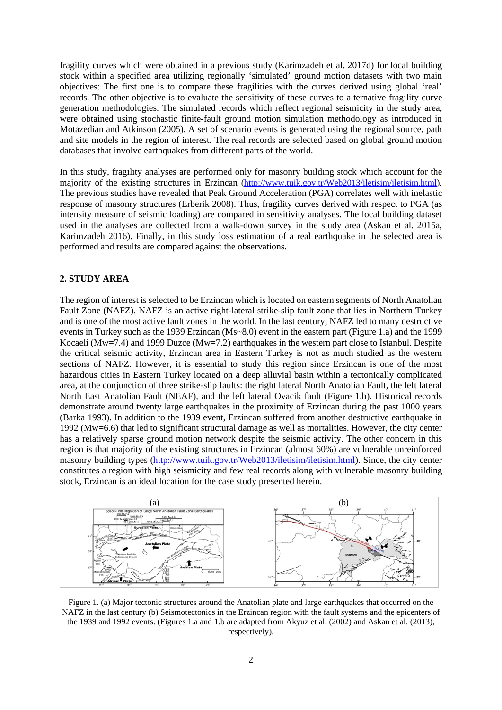fragility curves which were obtained in a previous study (Karimzadeh et al. 2017d) for local building stock within a specified area utilizing regionally 'simulated' ground motion datasets with two main objectives: The first one is to compare these fragilities with the curves derived using global 'real' records. The other objective is to evaluate the sensitivity of these curves to alternative fragility curve generation methodologies. The simulated records which reflect regional seismicity in the study area, were obtained using stochastic finite-fault ground motion simulation methodology as introduced in Motazedian and Atkinson (2005). A set of scenario events is generated using the regional source, path and site models in the region of interest. The real records are selected based on global ground motion databases that involve earthquakes from different parts of the world.

In this study, fragility analyses are performed only for masonry building stock which account for the majority of the existing structures in Erzincan [\(http://www.tuik.gov.tr/Web2013/iletisim/iletisim.html\)](http://www.tuik.gov.tr/Web2013/iletisim/iletisim.html). The previous studies have revealed that Peak Ground Acceleration (PGA) correlates well with inelastic response of masonry structures (Erberik 2008). Thus, fragility curves derived with respect to PGA (as intensity measure of seismic loading) are compared in sensitivity analyses. The local building dataset used in the analyses are collected from a walk-down survey in the study area (Askan et al. 2015a, Karimzadeh 2016). Finally, in this study loss estimation of a real earthquake in the selected area is performed and results are compared against the observations.

#### **2. STUDY AREA**

The region of interest is selected to be Erzincan which is located on eastern segments of North Anatolian Fault Zone (NAFZ). NAFZ is an active right-lateral strike-slip fault zone that lies in Northern Turkey and is one of the most active fault zones in the world. In the last century, NAFZ led to many destructive events in Turkey such as the 1939 Erzincan (Ms~8.0) event in the eastern part (Figure 1.a) and the 1999 Kocaeli (Mw=7.4) and 1999 Duzce (Mw=7.2) earthquakes in the western part close to Istanbul. Despite the critical seismic activity, Erzincan area in Eastern Turkey is not as much studied as the western sections of NAFZ. However, it is essential to study this region since Erzincan is one of the most hazardous cities in Eastern Turkey located on a deep alluvial basin within a tectonically complicated area, at the conjunction of three strike-slip faults: the right lateral North Anatolian Fault, the left lateral North East Anatolian Fault (NEAF), and the left lateral Ovacik fault (Figure 1.b). Historical records demonstrate around twenty large earthquakes in the proximity of Erzincan during the past 1000 years (Barka 1993). In addition to the 1939 event, Erzincan suffered from another destructive earthquake in 1992 (Mw=6.6) that led to significant structural damage as well as mortalities. However, the city center has a relatively sparse ground motion network despite the seismic activity. The other concern in this region is that majority of the existing structures in Erzincan (almost 60%) are vulnerable unreinforced masonry building types [\(http://www.tuik.gov.tr/Web2013/iletisim/iletisim.html\)](http://www.tuik.gov.tr/Web2013/iletisim/iletisim.html). Since, the city center constitutes a region with high seismicity and few real records along with vulnerable masonry building stock, Erzincan is an ideal location for the case study presented herein.



Figure 1. (a) Major tectonic structures around the Anatolian plate and large earthquakes that occurred on the NAFZ in the last century (b) Seismotectonics in the Erzincan region with the fault systems and the epicenters of the 1939 and 1992 events. (Figures 1.a and 1.b are adapted from Akyuz et al. (2002) and Askan et al. (2013), respectively).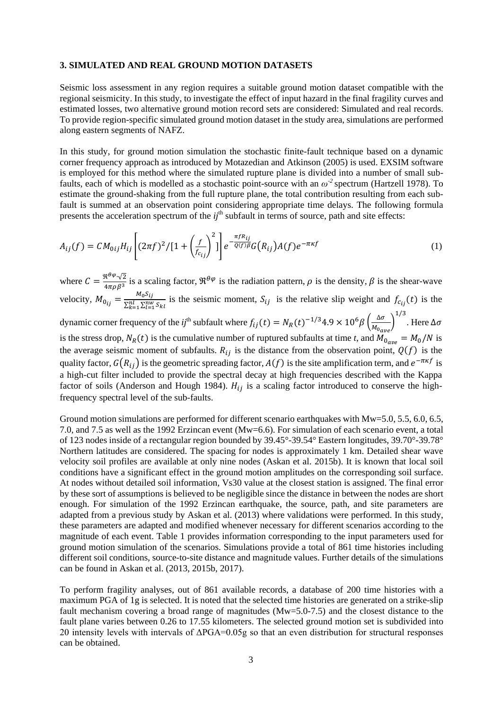#### **3. SIMULATED AND REAL GROUND MOTION DATASETS**

Seismic loss assessment in any region requires a suitable ground motion dataset compatible with the regional seismicity. In this study, to investigate the effect of input hazard in the final fragility curves and estimated losses, two alternative ground motion record sets are considered: Simulated and real records. To provide region-specific simulated ground motion dataset in the study area, simulations are performed along eastern segments of NAFZ.

In this study, for ground motion simulation the stochastic finite-fault technique based on a dynamic corner frequency approach as introduced by Motazedian and Atkinson (2005) is used. EXSIM software is employed for this method where the simulated rupture plane is divided into a number of small subfaults, each of which is modelled as a stochastic point-source with an *ω-2* spectrum (Hartzell 1978). To estimate the ground-shaking from the full rupture plane, the total contribution resulting from each subfault is summed at an observation point considering appropriate time delays. The following formula presents the acceleration spectrum of the *ij*<sup>th</sup> subfault in terms of source, path and site effects:

$$
A_{ij}(f) = CM_{0ij}H_{ij}\left[ (2\pi f)^2/[1 + \left(\frac{f}{f_{c_{ij}}}\right)^2] \right] e^{-\frac{\pi f R_{ij}}{Q(f)\beta}} G(R_{ij})A(f)e^{-\pi \kappa f}
$$
(1)

where  $C = \frac{\mathfrak{R}^{\theta\varphi}\sqrt{2}}{4\pi\rho\beta^3}$  is a scaling factor,  $\mathfrak{R}^{\theta\varphi}$  is the radiation pattern,  $\rho$  is the density,  $\beta$  is the shear-wave velocity,  $M_{0_{ij}} = \frac{M_0 S_{ij}}{\sum_{k=1}^{nl} \sum_{l=1}^{nw} S_{kl}}$  is the seismic moment,  $S_{ij}$  is the relative slip weight and  $f_{c_{ij}}(t)$  is the  $1/3$ . Here Δσ

dynamic corner frequency of the *ij*<sup>th</sup> subfault where  $f_{ij}(t) = N_R(t)^{-1/3}4.9 \times 10^6 \beta \left(\frac{\Delta \sigma}{M_{0ave}}\right)$ is the stress drop,  $N_R(t)$  is the cumulative number of ruptured subfaults at time *t*, and  $M_{0_{\text{one}}} = M_0/N$  is the average seismic moment of subfaults.  $R_{ij}$  is the distance from the observation point,  $Q(f)$  is the quality factor,  $G(R_{ii})$  is the geometric spreading factor,  $A(f)$  is the site amplification term, and  $e^{-\pi \kappa f}$  is a high-cut filter included to provide the spectral decay at high frequencies described with the Kappa factor of soils (Anderson and Hough 1984).  $H_{ij}$  is a scaling factor introduced to conserve the highfrequency spectral level of the sub-faults.

Ground motion simulations are performed for different scenario earthquakes with Mw=5.0, 5.5, 6.0, 6.5, 7.0, and 7.5 as well as the 1992 Erzincan event (Mw=6.6). For simulation of each scenario event, a total of 123 nodes inside of a rectangular region bounded by 39.45°-39.54° Eastern longitudes, 39.70°-39.78° Northern latitudes are considered. The spacing for nodes is approximately 1 km. Detailed shear wave velocity soil profiles are available at only nine nodes (Askan et al. 2015b). It is known that local soil conditions have a significant effect in the ground motion amplitudes on the corresponding soil surface. At nodes without detailed soil information, Vs30 value at the closest station is assigned. The final error by these sort of assumptions is believed to be negligible since the distance in between the nodes are short enough. For simulation of the 1992 Erzincan earthquake, the source, path, and site parameters are adapted from a previous study by Askan et al. (2013) where validations were performed. In this study, these parameters are adapted and modified whenever necessary for different scenarios according to the magnitude of each event. Table 1 provides information corresponding to the input parameters used for ground motion simulation of the scenarios. Simulations provide a total of 861 time histories including different soil conditions, source-to-site distance and magnitude values. Further details of the simulations can be found in Askan et al. (2013, 2015b, 2017).

To perform fragility analyses, out of 861 available records, a database of 200 time histories with a maximum PGA of 1g is selected. It is noted that the selected time histories are generated on a strike-slip fault mechanism covering a broad range of magnitudes (Mw=5.0-7.5) and the closest distance to the fault plane varies between 0.26 to 17.55 kilometers. The selected ground motion set is subdivided into 20 intensity levels with intervals of ΔPGA=0.05g so that an even distribution for structural responses can be obtained.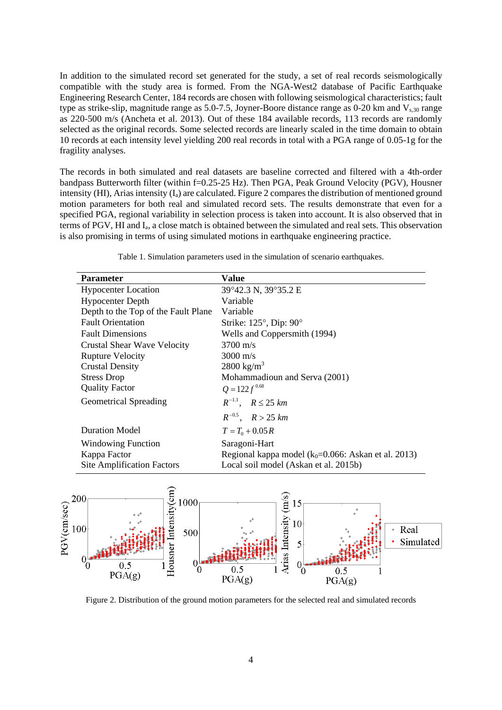In addition to the simulated record set generated for the study, a set of real records seismologically compatible with the study area is formed. From the NGA-West2 database of Pacific Earthquake Engineering Research Center, 184 records are chosen with following seismological characteristics; fault type as strike-slip, magnitude range as 5.0-7.5, Joyner-Boore distance range as 0-20 km and  $V_{s,30}$  range as 220-500 m/s (Ancheta et al. 2013). Out of these 184 available records, 113 records are randomly selected as the original records. Some selected records are linearly scaled in the time domain to obtain 10 records at each intensity level yielding 200 real records in total with a PGA range of 0.05-1g for the fragility analyses.

The records in both simulated and real datasets are baseline corrected and filtered with a 4th-order bandpass Butterworth filter (within f=0.25-25 Hz). Then PGA, Peak Ground Velocity (PGV), Housner intensity (HI), Arias intensity  $(I_a)$  are calculated. Figure 2 compares the distribution of mentioned ground motion parameters for both real and simulated record sets. The results demonstrate that even for a specified PGA, regional variability in selection process is taken into account. It is also observed that in terms of PGV, HI and Ia, a close match is obtained between the simulated and real sets. This observation is also promising in terms of using simulated motions in earthquake engineering practice.

| <b>Parameter</b>                    | Value                                                   |  |  |
|-------------------------------------|---------------------------------------------------------|--|--|
| <b>Hypocenter Location</b>          | 39°42.3 N, 39°35.2 E                                    |  |  |
| <b>Hypocenter Depth</b>             | Variable                                                |  |  |
| Depth to the Top of the Fault Plane | Variable                                                |  |  |
| <b>Fault Orientation</b>            | Strike: $125^\circ$ , Dip: $90^\circ$                   |  |  |
| <b>Fault Dimensions</b>             | Wells and Coppersmith (1994)                            |  |  |
| <b>Crustal Shear Wave Velocity</b>  | $3700 \text{ m/s}$                                      |  |  |
| <b>Rupture Velocity</b>             | $3000 \text{ m/s}$                                      |  |  |
| <b>Crustal Density</b>              | 2800 kg/ $m^3$                                          |  |  |
| <b>Stress Drop</b>                  | Mohammadioun and Serva (2001)                           |  |  |
| <b>Quality Factor</b>               | $Q = 122 f^{0.68}$                                      |  |  |
| <b>Geometrical Spreading</b>        | $R^{-1.1}$ , $R \le 25$ km                              |  |  |
|                                     | $R^{-0.5}$ , $R > 25$ km                                |  |  |
| <b>Duration Model</b>               | $T = T_0 + 0.05 R$                                      |  |  |
| Windowing Function                  | Saragoni-Hart                                           |  |  |
| Kappa Factor                        | Regional kappa model ( $k_0$ =0.066: Askan et al. 2013) |  |  |
| <b>Site Amplification Factors</b>   | Local soil model (Askan et al. 2015b)                   |  |  |

Table 1. Simulation parameters used in the simulation of scenario earthquakes.



Figure 2. Distribution of the ground motion parameters for the selected real and simulated records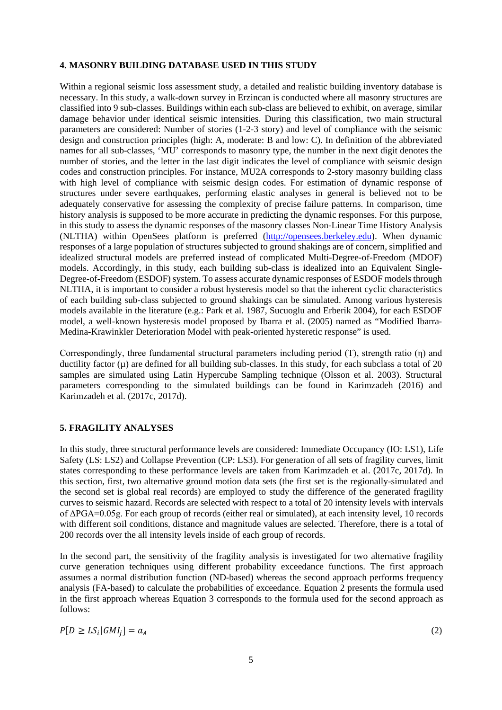### **4. MASONRY BUILDING DATABASE USED IN THIS STUDY**

Within a regional seismic loss assessment study, a detailed and realistic building inventory database is necessary. In this study, a walk-down survey in Erzincan is conducted where all masonry structures are classified into 9 sub-classes. Buildings within each sub-class are believed to exhibit, on average, similar damage behavior under identical seismic intensities. During this classification, two main structural parameters are considered: Number of stories (1-2-3 story) and level of compliance with the seismic design and construction principles (high: A, moderate: B and low: C). In definition of the abbreviated names for all sub-classes, 'MU' corresponds to masonry type, the number in the next digit denotes the number of stories, and the letter in the last digit indicates the level of compliance with seismic design codes and construction principles. For instance, MU2A corresponds to 2-story masonry building class with high level of compliance with seismic design codes. For estimation of dynamic response of structures under severe earthquakes, performing elastic analyses in general is believed not to be adequately conservative for assessing the complexity of precise failure patterns. In comparison, time history analysis is supposed to be more accurate in predicting the dynamic responses. For this purpose, in this study to assess the dynamic responses of the masonry classes Non-Linear Time History Analysis (NLTHA) within OpenSees platform is preferred [\(http://opensees.berkeley.edu\)](http://opensees.berkeley.edu/). When dynamic responses of a large population of structures subjected to ground shakings are of concern, simplified and idealized structural models are preferred instead of complicated Multi-Degree-of-Freedom (MDOF) models. Accordingly, in this study, each building sub-class is idealized into an Equivalent Single-Degree-of-Freedom (ESDOF) system. To assess accurate dynamic responses of ESDOF models through NLTHA, it is important to consider a robust hysteresis model so that the inherent cyclic characteristics of each building sub-class subjected to ground shakings can be simulated. Among various hysteresis models available in the literature (e.g.: Park et al. 1987, Sucuoglu and Erberik 2004), for each ESDOF model, a well-known hysteresis model proposed by Ibarra et al. (2005) named as "Modified Ibarra-Medina-Krawinkler Deterioration Model with peak-oriented hysteretic response" is used.

Correspondingly, three fundamental structural parameters including period (T), strength ratio (η) and ductility factor  $(\mu)$  are defined for all building sub-classes. In this study, for each subclass a total of 20 samples are simulated using Latin Hypercube Sampling technique (Olsson et al. 2003). Structural parameters corresponding to the simulated buildings can be found in Karimzadeh (2016) and Karimzadeh et al. (2017c, 2017d).

## **5. FRAGILITY ANALYSES**

In this study, three structural performance levels are considered: Immediate Occupancy (IO: LS1), Life Safety (LS: LS2) and Collapse Prevention (CP: LS3). For generation of all sets of fragility curves, limit states corresponding to these performance levels are taken from Karimzadeh et al. (2017c, 2017d). In this section, first, two alternative ground motion data sets (the first set is the regionally-simulated and the second set is global real records) are employed to study the difference of the generated fragility curves to seismic hazard. Records are selected with respect to a total of 20 intensity levels with intervals of ΔPGA=0.05g. For each group of records (either real or simulated), at each intensity level, 10 records with different soil conditions, distance and magnitude values are selected. Therefore, there is a total of 200 records over the all intensity levels inside of each group of records.

In the second part, the sensitivity of the fragility analysis is investigated for two alternative fragility curve generation techniques using different probability exceedance functions. The first approach assumes a normal distribution function (ND-based) whereas the second approach performs frequency analysis (FA-based) to calculate the probabilities of exceedance. Equation 2 presents the formula used in the first approach whereas Equation 3 corresponds to the formula used for the second approach as follows:

 $P[D \ge LS_i | G M I_i] = a_A$  (2)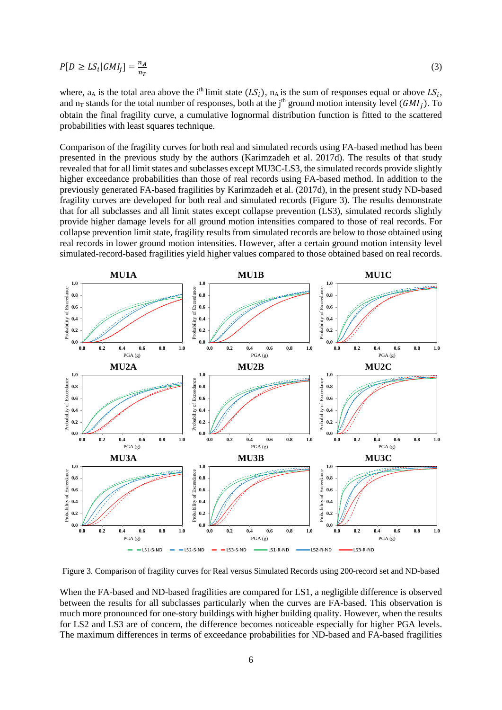$$
P[D \ge LS_i|GMI_j] = \frac{n_A}{n_T} \tag{3}
$$

where,  $a_A$  is the total area above the i<sup>th</sup> limit state  $(LS_i)$ ,  $n_A$  is the sum of responses equal or above  $LS_i$ , and n<sub>T</sub> stands for the total number of responses, both at the j<sup>th</sup> ground motion intensity level ( $GMI_i$ ). To obtain the final fragility curve, a cumulative lognormal distribution function is fitted to the scattered probabilities with least squares technique.

Comparison of the fragility curves for both real and simulated records using FA-based method has been presented in the previous study by the authors (Karimzadeh et al. 2017d). The results of that study revealed that for all limit states and subclasses except MU3C-LS3, the simulated records provide slightly higher exceedance probabilities than those of real records using FA-based method. In addition to the previously generated FA-based fragilities by Karimzadeh et al. (2017d), in the present study ND-based fragility curves are developed for both real and simulated records (Figure 3). The results demonstrate that for all subclasses and all limit states except collapse prevention (LS3), simulated records slightly provide higher damage levels for all ground motion intensities compared to those of real records. For collapse prevention limit state, fragility results from simulated records are below to those obtained using real records in lower ground motion intensities. However, after a certain ground motion intensity level simulated-record-based fragilities yield higher values compared to those obtained based on real records.



Figure 3. Comparison of fragility curves for Real versus Simulated Records using 200-record set and ND-based

When the FA-based and ND-based fragilities are compared for LS1, a negligible difference is observed between the results for all subclasses particularly when the curves are FA-based. This observation is much more pronounced for one-story buildings with higher building quality. However, when the results for LS2 and LS3 are of concern, the difference becomes noticeable especially for higher PGA levels. The maximum differences in terms of exceedance probabilities for ND-based and FA-based fragilities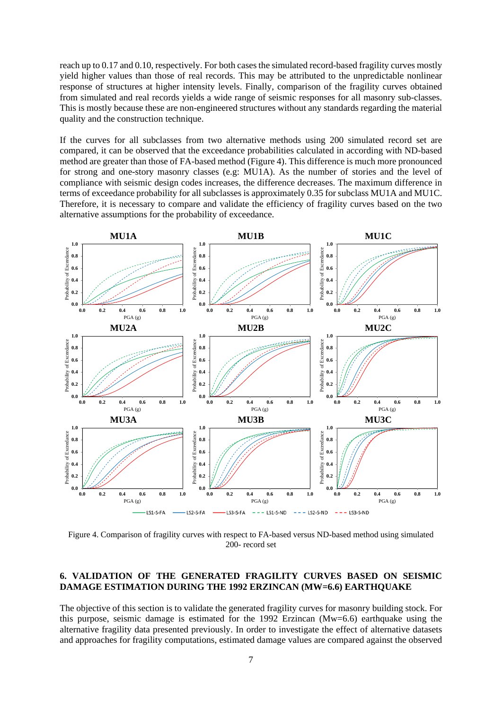reach up to 0.17 and 0.10, respectively. For both cases the simulated record-based fragility curves mostly yield higher values than those of real records. This may be attributed to the unpredictable nonlinear response of structures at higher intensity levels. Finally, comparison of the fragility curves obtained from simulated and real records yields a wide range of seismic responses for all masonry sub-classes. This is mostly because these are non-engineered structures without any standards regarding the material quality and the construction technique.

If the curves for all subclasses from two alternative methods using 200 simulated record set are compared, it can be observed that the exceedance probabilities calculated in according with ND-based method are greater than those of FA-based method (Figure 4). This difference is much more pronounced for strong and one-story masonry classes (e.g: MU1A). As the number of stories and the level of compliance with seismic design codes increases, the difference decreases. The maximum difference in terms of exceedance probability for all subclasses is approximately 0.35 for subclass MU1A and MU1C. Therefore, it is necessary to compare and validate the efficiency of fragility curves based on the two alternative assumptions for the probability of exceedance.



Figure 4. Comparison of fragility curves with respect to FA-based versus ND-based method using simulated 200- record set

## **6. VALIDATION OF THE GENERATED FRAGILITY CURVES BASED ON SEISMIC DAMAGE ESTIMATION DURING THE 1992 ERZINCAN (MW=6.6) EARTHQUAKE**

The objective of this section is to validate the generated fragility curves for masonry building stock. For this purpose, seismic damage is estimated for the 1992 Erzincan (Mw=6.6) earthquake using the alternative fragility data presented previously. In order to investigate the effect of alternative datasets and approaches for fragility computations, estimated damage values are compared against the observed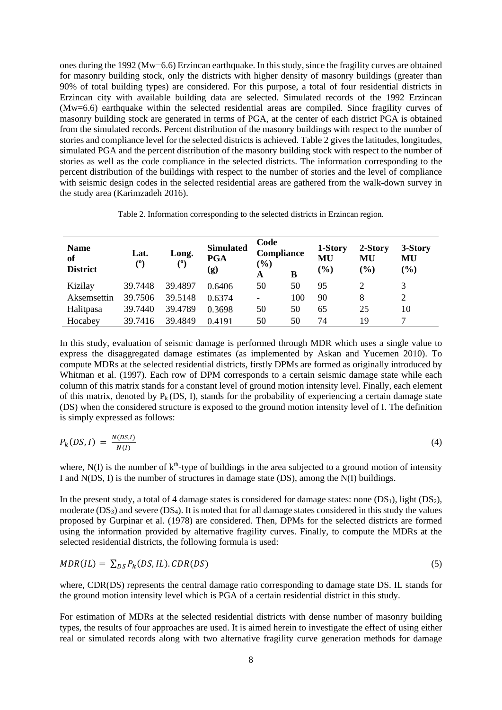ones during the 1992 (Mw=6.6) Erzincan earthquake. In this study, since the fragility curves are obtained for masonry building stock, only the districts with higher density of masonry buildings (greater than 90% of total building types) are considered. For this purpose, a total of four residential districts in Erzincan city with available building data are selected. Simulated records of the 1992 Erzincan (Mw=6.6) earthquake within the selected residential areas are compiled. Since fragility curves of masonry building stock are generated in terms of PGA, at the center of each district PGA is obtained from the simulated records. Percent distribution of the masonry buildings with respect to the number of stories and compliance level for the selected districts is achieved. Table 2 gives the latitudes, longitudes, simulated PGA and the percent distribution of the masonry building stock with respect to the number of stories as well as the code compliance in the selected districts. The information corresponding to the percent distribution of the buildings with respect to the number of stories and the level of compliance with seismic design codes in the selected residential areas are gathered from the walk-down survey in the study area (Karimzadeh 2016).

Table 2. Information corresponding to the selected districts in Erzincan region.

| <b>Name</b><br>of<br><b>District</b> | Lat.<br>$^{\rm (0)}$ | Long.<br>(°) | <b>Simulated</b><br><b>PGA</b><br>(g) | Code<br><b>Compliance</b><br>$(\%)$<br>A | B   | 1-Story<br>MU<br>(%) | 2-Story<br>MU<br>$(\%)$ | 3-Story<br>MU<br>(%) |
|--------------------------------------|----------------------|--------------|---------------------------------------|------------------------------------------|-----|----------------------|-------------------------|----------------------|
| Kizilay                              | 39.7448              | 39.4897      | 0.6406                                | 50                                       | 50  | 95                   |                         | 3                    |
| Aksemsettin                          | 39.7506              | 39.5148      | 0.6374                                | -                                        | 100 | 90                   | 8                       | 2                    |
| Halitpasa                            | 39.7440              | 39.4789      | 0.3698                                | 50                                       | 50  | 65                   | 25                      | 10                   |
| Hocabey                              | 39.7416              | 39.4849      | 0.4191                                | 50                                       | 50  | 74                   | 19                      |                      |

In this study, evaluation of seismic damage is performed through MDR which uses a single value to express the disaggregated damage estimates (as implemented by Askan and Yucemen 2010). To compute MDRs at the selected residential districts, firstly DPMs are formed as originally introduced by Whitman et al. (1997). Each row of DPM corresponds to a certain seismic damage state while each column of this matrix stands for a constant level of ground motion intensity level. Finally, each element of this matrix, denoted by  $P_k$  (DS, I), stands for the probability of experiencing a certain damage state (DS) when the considered structure is exposed to the ground motion intensity level of I. The definition is simply expressed as follows:

$$
P_k(DS,I) = \frac{N(DS,I)}{N(I)}\tag{4}
$$

where,  $N(I)$  is the number of  $k<sup>th</sup>$ -type of buildings in the area subjected to a ground motion of intensity I and N(DS, I) is the number of structures in damage state (DS), among the N(I) buildings.

In the present study, a total of 4 damage states is considered for damage states: none  $(DS_1)$ , light  $(DS_2)$ , moderate  $(DS_3)$  and severe  $(DS_4)$ . It is noted that for all damage states considered in this study the values proposed by Gurpinar et al. (1978) are considered. Then, DPMs for the selected districts are formed using the information provided by alternative fragility curves. Finally, to compute the MDRs at the selected residential districts, the following formula is used:

$$
MDR(IL) = \sum_{DS} P_k(DS, IL). \, CDR(DS) \tag{5}
$$

where, CDR(DS) represents the central damage ratio corresponding to damage state DS. IL stands for the ground motion intensity level which is PGA of a certain residential district in this study.

For estimation of MDRs at the selected residential districts with dense number of masonry building types, the results of four approaches are used. It is aimed herein to investigate the effect of using either real or simulated records along with two alternative fragility curve generation methods for damage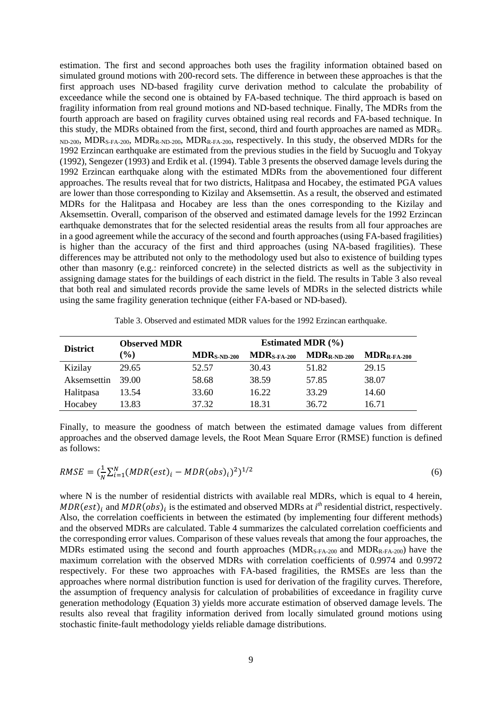estimation. The first and second approaches both uses the fragility information obtained based on simulated ground motions with 200-record sets. The difference in between these approaches is that the first approach uses ND-based fragility curve derivation method to calculate the probability of exceedance while the second one is obtained by FA-based technique. The third approach is based on fragility information from real ground motions and ND-based technique. Finally, The MDRs from the fourth approach are based on fragility curves obtained using real records and FA-based technique. In this study, the MDRs obtained from the first, second, third and fourth approaches are named as MDRS-ND-200, MDR<sub>S-FA-200</sub>, MDR<sub>R-ND-200</sub>, MDR<sub>R-FA-200</sub>, respectively. In this study, the observed MDRs for the 1992 Erzincan earthquake are estimated from the previous studies in the field by Sucuoglu and Tokyay (1992), Sengezer (1993) and Erdik et al. (1994). Table 3 presents the observed damage levels during the 1992 Erzincan earthquake along with the estimated MDRs from the abovementioned four different approaches. The results reveal that for two districts, Halitpasa and Hocabey, the estimated PGA values are lower than those corresponding to Kizilay and Aksemsettin. As a result, the observed and estimated MDRs for the Halitpasa and Hocabey are less than the ones corresponding to the Kizilay and Aksemsettin. Overall, comparison of the observed and estimated damage levels for the 1992 Erzincan earthquake demonstrates that for the selected residential areas the results from all four approaches are in a good agreement while the accuracy of the second and fourth approaches (using FA-based fragilities) is higher than the accuracy of the first and third approaches (using NA-based fragilities). These differences may be attributed not only to the methodology used but also to existence of building types other than masonry (e.g.: reinforced concrete) in the selected districts as well as the subjectivity in assigning damage states for the buildings of each district in the field. The results in Table 3 also reveal that both real and simulated records provide the same levels of MDRs in the selected districts while using the same fragility generation technique (either FA-based or ND-based).

| Table 3. Observed and estimated MDR values for the 1992 Erzincan earthquake. |  |
|------------------------------------------------------------------------------|--|
|------------------------------------------------------------------------------|--|

| <b>District</b> | <b>Observed MDR</b> | Estimated MDR $(\% )$ |                         |                  |                                  |  |
|-----------------|---------------------|-----------------------|-------------------------|------------------|----------------------------------|--|
|                 | $(\%)$              | $MDR_{S-ND-200}$      | $MDR_{S\text{-FA-}200}$ | $MDR_{R-ND-200}$ | $\mathbf{MDR}_{\text{R-FA-200}}$ |  |
| Kizilay         | 29.65               | 52.57                 | 30.43                   | 51.82            | 29.15                            |  |
| Aksemsettin     | 39.00               | 58.68                 | 38.59                   | 57.85            | 38.07                            |  |
| Halitpasa       | 13.54               | 33.60                 | 16.22                   | 33.29            | 14.60                            |  |
| Hocabey         | 13.83               | 37.32                 | 18.31                   | 36.72            | 16.71                            |  |

Finally, to measure the goodness of match between the estimated damage values from different approaches and the observed damage levels, the Root Mean Square Error (RMSE) function is defined as follows:

$$
RMSE = (\frac{1}{N} \sum_{i=1}^{N} (MDR(est)_i - MDR(obs)_i)^2)^{1/2}
$$
\n(6)

where N is the number of residential districts with available real MDRs, which is equal to 4 herein,  $MDR(est)$ <sub>i</sub> and  $MDR(obs)$ <sub>i</sub> is the estimated and observed MDRs at *i*<sup>th</sup> residential district, respectively. Also, the correlation coefficients in between the estimated (by implementing four different methods) and the observed MDRs are calculated. Table 4 summarizes the calculated correlation coefficients and the corresponding error values. Comparison of these values reveals that among the four approaches, the MDRs estimated using the second and fourth approaches (MDR<sub>S-FA-200</sub> and MDR<sub>R-FA-200</sub>) have the maximum correlation with the observed MDRs with correlation coefficients of 0.9974 and 0.9972 respectively. For these two approaches with FA-based fragilities, the RMSEs are less than the approaches where normal distribution function is used for derivation of the fragility curves. Therefore, the assumption of frequency analysis for calculation of probabilities of exceedance in fragility curve generation methodology (Equation 3) yields more accurate estimation of observed damage levels. The results also reveal that fragility information derived from locally simulated ground motions using stochastic finite-fault methodology yields reliable damage distributions.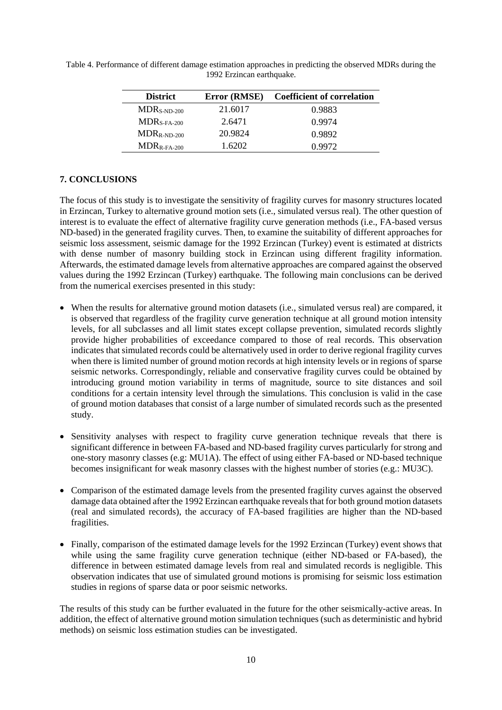| <b>District</b>  | Error (RMSE) | <b>Coefficient of correlation</b> |
|------------------|--------------|-----------------------------------|
| $MDRS-ND-200$    | 21.6017      | 0.9883                            |
| $MDRS-FA-200$    | 2.6471       | 0.9974                            |
| $MDR_{R-ND-200}$ | 20.9824      | 0.9892                            |
| $MDR_{R-FA-200}$ | 1.6202       | 0.9972                            |

Table 4. Performance of different damage estimation approaches in predicting the observed MDRs during the 1992 Erzincan earthquake.

## **7. CONCLUSIONS**

The focus of this study is to investigate the sensitivity of fragility curves for masonry structures located in Erzincan, Turkey to alternative ground motion sets (i.e., simulated versus real). The other question of interest is to evaluate the effect of alternative fragility curve generation methods (i.e., FA-based versus ND-based) in the generated fragility curves. Then, to examine the suitability of different approaches for seismic loss assessment, seismic damage for the 1992 Erzincan (Turkey) event is estimated at districts with dense number of masonry building stock in Erzincan using different fragility information. Afterwards, the estimated damage levels from alternative approaches are compared against the observed values during the 1992 Erzincan (Turkey) earthquake. The following main conclusions can be derived from the numerical exercises presented in this study:

- When the results for alternative ground motion datasets (i.e., simulated versus real) are compared, it is observed that regardless of the fragility curve generation technique at all ground motion intensity levels, for all subclasses and all limit states except collapse prevention, simulated records slightly provide higher probabilities of exceedance compared to those of real records. This observation indicates that simulated records could be alternatively used in order to derive regional fragility curves when there is limited number of ground motion records at high intensity levels or in regions of sparse seismic networks. Correspondingly, reliable and conservative fragility curves could be obtained by introducing ground motion variability in terms of magnitude, source to site distances and soil conditions for a certain intensity level through the simulations. This conclusion is valid in the case of ground motion databases that consist of a large number of simulated records such as the presented study.
- Sensitivity analyses with respect to fragility curve generation technique reveals that there is significant difference in between FA-based and ND-based fragility curves particularly for strong and one-story masonry classes (e.g: MU1A). The effect of using either FA-based or ND-based technique becomes insignificant for weak masonry classes with the highest number of stories (e.g.: MU3C).
- Comparison of the estimated damage levels from the presented fragility curves against the observed damage data obtained after the 1992 Erzincan earthquake reveals that for both ground motion datasets (real and simulated records), the accuracy of FA-based fragilities are higher than the ND-based fragilities.
- Finally, comparison of the estimated damage levels for the 1992 Erzincan (Turkey) event shows that while using the same fragility curve generation technique (either ND-based or FA-based), the difference in between estimated damage levels from real and simulated records is negligible. This observation indicates that use of simulated ground motions is promising for seismic loss estimation studies in regions of sparse data or poor seismic networks.

The results of this study can be further evaluated in the future for the other seismically-active areas. In addition, the effect of alternative ground motion simulation techniques (such as deterministic and hybrid methods) on seismic loss estimation studies can be investigated.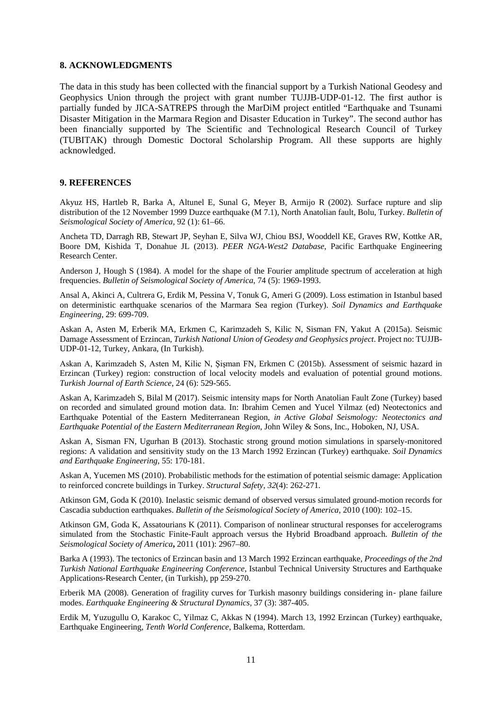#### **8. ACKNOWLEDGMENTS**

The data in this study has been collected with the financial support by a Turkish National Geodesy and Geophysics Union through the project with grant number TUJJB-UDP-01-12. The first author is partially funded by JICA-SATREPS through the MarDiM project entitled "Earthquake and Tsunami Disaster Mitigation in the Marmara Region and Disaster Education in Turkey". The second author has been financially supported by The Scientific and Technological Research Council of Turkey (TUBITAK) through Domestic Doctoral Scholarship Program. All these supports are highly acknowledged.

#### **9. REFERENCES**

Akyuz HS, Hartleb R, Barka A, Altunel E, Sunal G, Meyer B, Armijo R (2002). Surface rupture and slip distribution of the 12 November 1999 Duzce earthquake (M 7.1), North Anatolian fault, Bolu, Turkey. *Bulletin of Seismological Society of America,* 92 (1): 61–66.

Ancheta TD, Darragh RB, Stewart JP, Seyhan E, Silva WJ, Chiou BSJ, Wooddell KE, Graves RW, Kottke AR, Boore DM, Kishida T, Donahue JL (2013). *PEER NGA-West2 Database*, Pacific Earthquake Engineering Research Center.

Anderson J, Hough S (1984). A model for the shape of the Fourier amplitude spectrum of acceleration at high frequencies. *Bulletin of Seismological Society of America*, 74 (5): 1969-1993.

Ansal A, Akinci A, Cultrera G, Erdik M, Pessina V, Tonuk G, Ameri G (2009). Loss estimation in Istanbul based on deterministic earthquake scenarios of the Marmara Sea region (Turkey). *Soil Dynamics and Earthquake Engineering*, 29: 699-709.

Askan A, Asten M, Erberik MA, Erkmen C, Karimzadeh S, Kilic N, Sisman FN, Yakut A (2015a). Seismic Damage Assessment of Erzincan, *Turkish National Union of Geodesy and Geophysics project*. Project no: TUJJB-UDP-01-12, Turkey, Ankara, (In Turkish).

Askan A, Karimzadeh S, Asten M, Kilic N, Şişman FN, Erkmen C (2015b). Assessment of seismic hazard in Erzincan (Turkey) region: construction of local velocity models and evaluation of potential ground motions. *Turkish Journal of Earth Science*, 24 (6): 529-565.

Askan A, Karimzadeh S, Bilal M (2017). Seismic intensity maps for North Anatolian Fault Zone (Turkey) based on recorded and simulated ground motion data. In: Ibrahim Cemen and Yucel Yilmaz (ed) Neotectonics and Earthquake Potential of the Eastern Mediterranean Region, *in Active Global Seismology: Neotectonics and Earthquake Potential of the Eastern Mediterranean Region*, John Wiley & Sons, Inc., Hoboken, NJ, USA.

Askan A, Sisman FN, Ugurhan B (2013). Stochastic strong ground motion simulations in sparsely-monitored regions: A validation and sensitivity study on the 13 March 1992 Erzincan (Turkey) earthquake. *Soil Dynamics and Earthquake Engineering*, 55: 170-181.

Askan A, Yucemen MS (2010). Probabilistic methods for the estimation of potential seismic damage: Application to reinforced concrete buildings in Turkey. *Structural Safety*, *32*(4): 262-271.

Atkinson GM, Goda K (2010). Inelastic seismic demand of observed versus simulated ground-motion records for Cascadia subduction earthquakes. *Bulletin of the Seismological Society of America*, 2010 (100): 102–15.

Atkinson GM, Goda K, Assatourians K (2011). Comparison of nonlinear structural responses for accelerograms simulated from the Stochastic Finite-Fault approach versus the Hybrid Broadband approach. *Bulletin of the Seismological Society of America***,** 2011 (101): 2967–80.

Barka A (1993). The tectonics of Erzincan basin and 13 March 1992 Erzincan earthquake, *Proceedings of the 2nd Turkish National Earthquake Engineering Conference*, Istanbul Technical University Structures and Earthquake Applications-Research Center, (in Turkish), pp 259-270.

Erberik MA (2008). Generation of fragility curves for Turkish masonry buildings considering in‐ plane failure modes. *Earthquake Engineering & Structural Dynamics,* 37 (3): 387-405.

Erdik M, Yuzugullu O, Karakoc C, Yilmaz C, Akkas N (1994). March 13, 1992 Erzincan (Turkey) earthquake, Earthquake Engineering, *Tenth World Conference*, Balkema, Rotterdam.